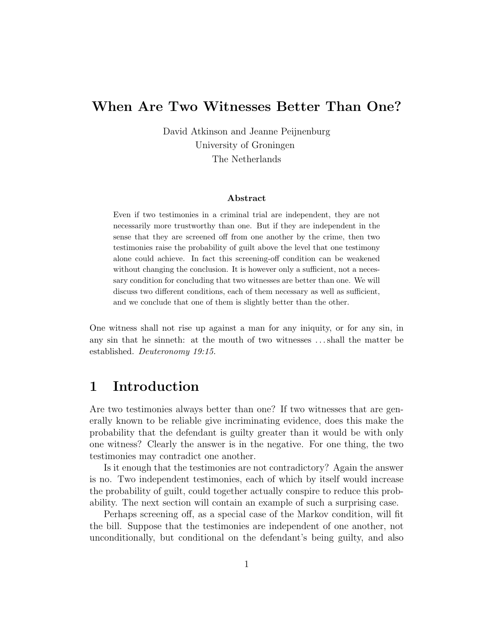## When Are Two Witnesses Better Than One?

David Atkinson and Jeanne Peijnenburg University of Groningen The Netherlands

#### Abstract

Even if two testimonies in a criminal trial are independent, they are not necessarily more trustworthy than one. But if they are independent in the sense that they are screened off from one another by the crime, then two testimonies raise the probability of guilt above the level that one testimony alone could achieve. In fact this screening-off condition can be weakened without changing the conclusion. It is however only a sufficient, not a necessary condition for concluding that two witnesses are better than one. We will discuss two different conditions, each of them necessary as well as sufficient, and we conclude that one of them is slightly better than the other.

One witness shall not rise up against a man for any iniquity, or for any sin, in any sin that he sinneth: at the mouth of two witnesses . . . shall the matter be established. Deuteronomy 19:15.

## 1 Introduction

Are two testimonies always better than one? If two witnesses that are generally known to be reliable give incriminating evidence, does this make the probability that the defendant is guilty greater than it would be with only one witness? Clearly the answer is in the negative. For one thing, the two testimonies may contradict one another.

Is it enough that the testimonies are not contradictory? Again the answer is no. Two independent testimonies, each of which by itself would increase the probability of guilt, could together actually conspire to reduce this probability. The next section will contain an example of such a surprising case.

Perhaps screening off, as a special case of the Markov condition, will fit the bill. Suppose that the testimonies are independent of one another, not unconditionally, but conditional on the defendant's being guilty, and also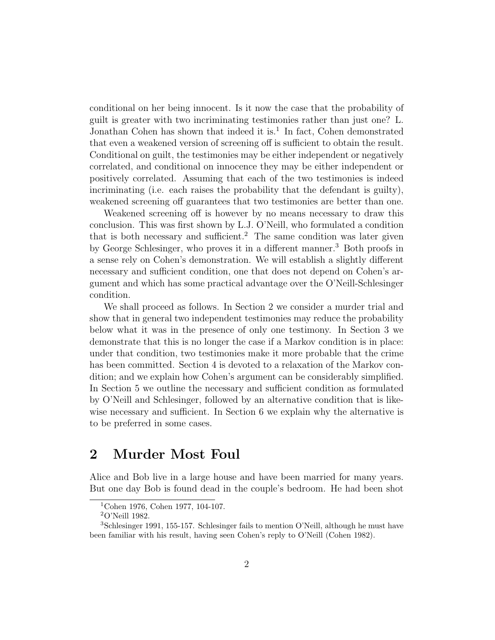conditional on her being innocent. Is it now the case that the probability of guilt is greater with two incriminating testimonies rather than just one? L. Jonathan Cohen has shown that indeed it is.<sup>1</sup> In fact, Cohen demonstrated that even a weakened version of screening off is sufficient to obtain the result. Conditional on guilt, the testimonies may be either independent or negatively correlated, and conditional on innocence they may be either independent or positively correlated. Assuming that each of the two testimonies is indeed incriminating (i.e. each raises the probability that the defendant is guilty), weakened screening off guarantees that two testimonies are better than one.

Weakened screening off is however by no means necessary to draw this conclusion. This was first shown by L.J. O'Neill, who formulated a condition that is both necessary and sufficient.<sup>2</sup> The same condition was later given by George Schlesinger, who proves it in a different manner.<sup>3</sup> Both proofs in a sense rely on Cohen's demonstration. We will establish a slightly different necessary and sufficient condition, one that does not depend on Cohen's argument and which has some practical advantage over the O'Neill-Schlesinger condition.

We shall proceed as follows. In Section 2 we consider a murder trial and show that in general two independent testimonies may reduce the probability below what it was in the presence of only one testimony. In Section 3 we demonstrate that this is no longer the case if a Markov condition is in place: under that condition, two testimonies make it more probable that the crime has been committed. Section 4 is devoted to a relaxation of the Markov condition; and we explain how Cohen's argument can be considerably simplified. In Section 5 we outline the necessary and sufficient condition as formulated by O'Neill and Schlesinger, followed by an alternative condition that is likewise necessary and sufficient. In Section 6 we explain why the alternative is to be preferred in some cases.

## 2 Murder Most Foul

Alice and Bob live in a large house and have been married for many years. But one day Bob is found dead in the couple's bedroom. He had been shot

<sup>&</sup>lt;sup>1</sup>Cohen 1976, Cohen 1977, 104-107.

<sup>2</sup>O'Neill 1982.

<sup>3</sup>Schlesinger 1991, 155-157. Schlesinger fails to mention O'Neill, although he must have been familiar with his result, having seen Cohen's reply to O'Neill (Cohen 1982).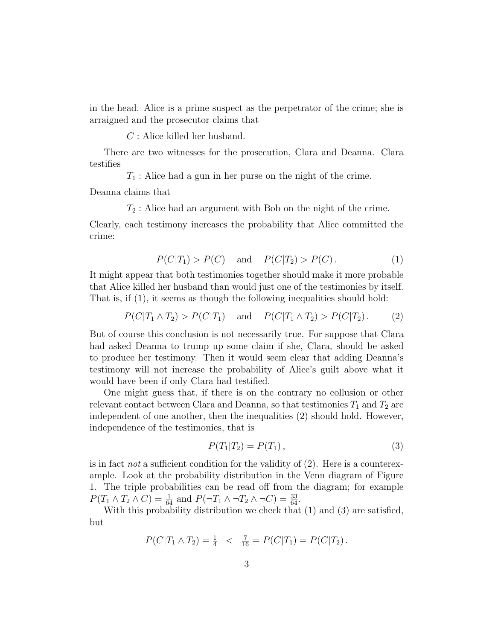in the head. Alice is a prime suspect as the perpetrator of the crime; she is arraigned and the prosecutor claims that

C : Alice killed her husband.

There are two witnesses for the prosecution, Clara and Deanna. Clara testifies

 $T_1$ : Alice had a gun in her purse on the night of the crime.

Deanna claims that

 $T_2$ : Alice had an argument with Bob on the night of the crime.

Clearly, each testimony increases the probability that Alice committed the crime:

$$
P(C|T_1) > P(C)
$$
 and  $P(C|T_2) > P(C)$ . (1)

It might appear that both testimonies together should make it more probable that Alice killed her husband than would just one of the testimonies by itself. That is, if (1), it seems as though the following inequalities should hold:

$$
P(C|T_1 \wedge T_2) > P(C|T_1)
$$
 and  $P(C|T_1 \wedge T_2) > P(C|T_2)$ . (2)

But of course this conclusion is not necessarily true. For suppose that Clara had asked Deanna to trump up some claim if she, Clara, should be asked to produce her testimony. Then it would seem clear that adding Deanna's testimony will not increase the probability of Alice's guilt above what it would have been if only Clara had testified.

One might guess that, if there is on the contrary no collusion or other relevant contact between Clara and Deanna, so that testimonies  $T_1$  and  $T_2$  are independent of one another, then the inequalities (2) should hold. However, independence of the testimonies, that is

$$
P(T_1|T_2) = P(T_1), \t\t(3)
$$

is in fact *not* a sufficient condition for the validity of  $(2)$ . Here is a counterexample. Look at the probability distribution in the Venn diagram of Figure 1. The triple probabilities can be read off from the diagram; for example  $P(T_1 \wedge T_2 \wedge C) = \frac{1}{64}$  and  $P(\neg T_1 \wedge \neg T_2 \wedge \neg C) = \frac{33}{64}$ .

With this probability distribution we check that (1) and (3) are satisfied, but

$$
P(C|T_1 \wedge T_2) = \frac{1}{4} < \frac{7}{16} = P(C|T_1) = P(C|T_2).
$$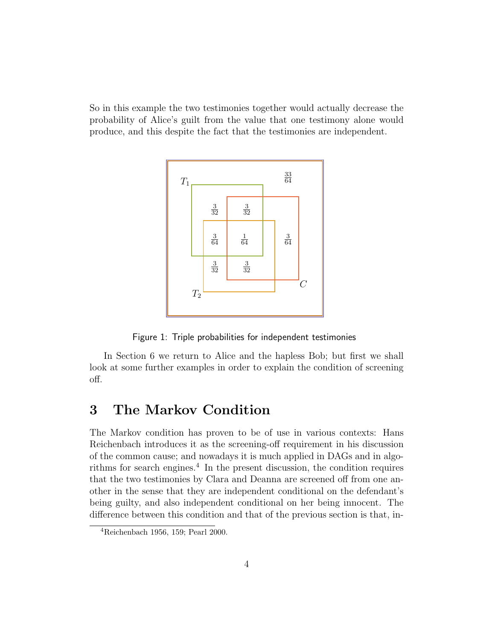So in this example the two testimonies together would actually decrease the probability of Alice's guilt from the value that one testimony alone would produce, and this despite the fact that the testimonies are independent.



Figure 1: Triple probabilities for independent testimonies

In Section 6 we return to Alice and the hapless Bob; but first we shall look at some further examples in order to explain the condition of screening off.

## 3 The Markov Condition

The Markov condition has proven to be of use in various contexts: Hans Reichenbach introduces it as the screening-off requirement in his discussion of the common cause; and nowadays it is much applied in DAGs and in algorithms for search engines.<sup>4</sup> In the present discussion, the condition requires that the two testimonies by Clara and Deanna are screened off from one another in the sense that they are independent conditional on the defendant's being guilty, and also independent conditional on her being innocent. The difference between this condition and that of the previous section is that, in-

<sup>4</sup>Reichenbach 1956, 159; Pearl 2000.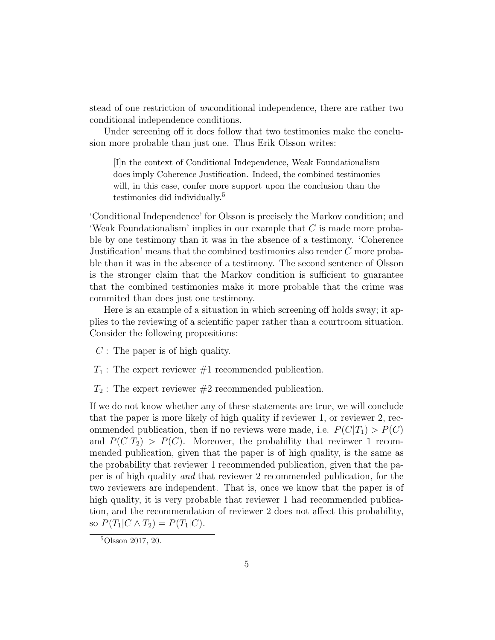stead of one restriction of unconditional independence, there are rather two conditional independence conditions.

Under screening off it does follow that two testimonies make the conclusion more probable than just one. Thus Erik Olsson writes:

[I]n the context of Conditional Independence, Weak Foundationalism does imply Coherence Justification. Indeed, the combined testimonies will, in this case, confer more support upon the conclusion than the testimonies did individually.<sup>5</sup>

'Conditional Independence' for Olsson is precisely the Markov condition; and 'Weak Foundationalism' implies in our example that  $C$  is made more probable by one testimony than it was in the absence of a testimony. 'Coherence Justification' means that the combined testimonies also render C more probable than it was in the absence of a testimony. The second sentence of Olsson is the stronger claim that the Markov condition is sufficient to guarantee that the combined testimonies make it more probable that the crime was commited than does just one testimony.

Here is an example of a situation in which screening off holds sway; it applies to the reviewing of a scientific paper rather than a courtroom situation. Consider the following propositions:

- $C$ : The paper is of high quality.
- $T_1$ : The expert reviewer  $\#1$  recommended publication.
- $T_2$ : The expert reviewer  $\#2$  recommended publication.

If we do not know whether any of these statements are true, we will conclude that the paper is more likely of high quality if reviewer 1, or reviewer 2, recommended publication, then if no reviews were made, i.e.  $P(C|T_1) > P(C)$ and  $P(C|T_2) > P(C)$ . Moreover, the probability that reviewer 1 recommended publication, given that the paper is of high quality, is the same as the probability that reviewer 1 recommended publication, given that the paper is of high quality and that reviewer 2 recommended publication, for the two reviewers are independent. That is, once we know that the paper is of high quality, it is very probable that reviewer 1 had recommended publication, and the recommendation of reviewer 2 does not affect this probability, so  $P(T_1|C \wedge T_2) = P(T_1|C)$ .

<sup>5</sup>Olsson 2017, 20.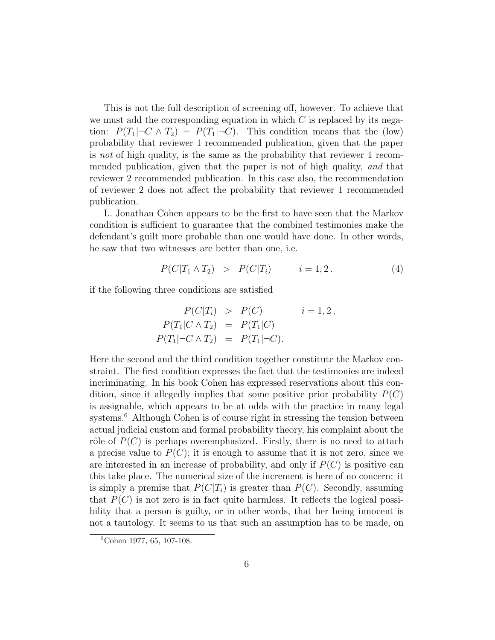This is not the full description of screening off, however. To achieve that we must add the corresponding equation in which  $C$  is replaced by its negation:  $P(T_1|\neg C \wedge T_2) = P(T_1|\neg C)$ . This condition means that the (low) probability that reviewer 1 recommended publication, given that the paper is not of high quality, is the same as the probability that reviewer 1 recommended publication, given that the paper is not of high quality, and that reviewer 2 recommended publication. In this case also, the recommendation of reviewer 2 does not affect the probability that reviewer 1 recommended publication.

L. Jonathan Cohen appears to be the first to have seen that the Markov condition is sufficient to guarantee that the combined testimonies make the defendant's guilt more probable than one would have done. In other words, he saw that two witnesses are better than one, i.e.

$$
P(C|T_1 \wedge T_2) > P(C|T_i) \qquad i = 1, 2. \tag{4}
$$

if the following three conditions are satisfied

$$
P(C|T_i) > P(C) \qquad i = 1, 2,
$$
  
\n
$$
P(T_1|C \wedge T_2) = P(T_1|C)
$$
  
\n
$$
P(T_1|\neg C \wedge T_2) = P(T_1|\neg C).
$$

Here the second and the third condition together constitute the Markov constraint. The first condition expresses the fact that the testimonies are indeed incriminating. In his book Cohen has expressed reservations about this condition, since it allegedly implies that some positive prior probability  $P(C)$ is assignable, which appears to be at odds with the practice in many legal systems.<sup>6</sup> Although Cohen is of course right in stressing the tension between actual judicial custom and formal probability theory, his complaint about the rôle of  $P(C)$  is perhaps overemphasized. Firstly, there is no need to attach a precise value to  $P(C)$ ; it is enough to assume that it is not zero, since we are interested in an increase of probability, and only if  $P(C)$  is positive can this take place. The numerical size of the increment is here of no concern: it is simply a premise that  $P(C|T_i)$  is greater than  $P(C)$ . Secondly, assuming that  $P(C)$  is not zero is in fact quite harmless. It reflects the logical possibility that a person is guilty, or in other words, that her being innocent is not a tautology. It seems to us that such an assumption has to be made, on

<sup>6</sup>Cohen 1977, 65, 107-108.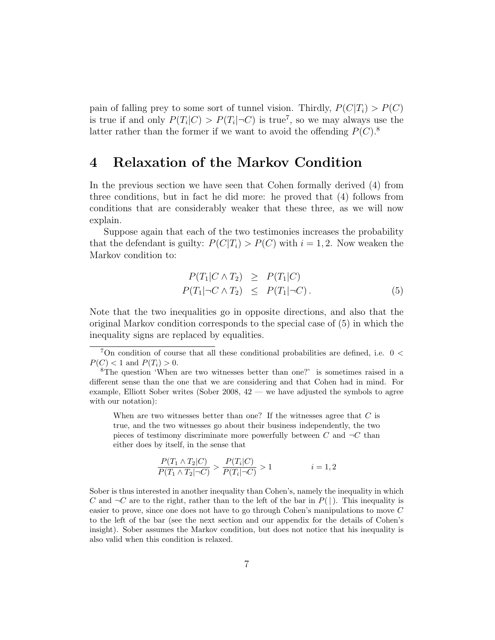pain of falling prey to some sort of tunnel vision. Thirdly,  $P(C|T_i) > P(C)$ is true if and only  $P(T_i|C) > P(T_i|\neg C)$  is true<sup>7</sup>, so we may always use the latter rather than the former if we want to avoid the offending  $P(C)$ .<sup>8</sup>

## 4 Relaxation of the Markov Condition

In the previous section we have seen that Cohen formally derived (4) from three conditions, but in fact he did more: he proved that (4) follows from conditions that are considerably weaker that these three, as we will now explain.

Suppose again that each of the two testimonies increases the probability that the defendant is guilty:  $P(C|T_i) > P(C)$  with  $i = 1, 2$ . Now weaken the Markov condition to:

$$
P(T_1|C \wedge T_2) \geq P(T_1|C)
$$
  
\n
$$
P(T_1|\neg C \wedge T_2) \leq P(T_1|\neg C).
$$
 (5)

Note that the two inequalities go in opposite directions, and also that the original Markov condition corresponds to the special case of (5) in which the inequality signs are replaced by equalities.

When are two witnesses better than one? If the witnesses agree that  $C$  is true, and the two witnesses go about their business independently, the two pieces of testimony discriminate more powerfully between C and  $\neg C$  than either does by itself, in the sense that

$$
\frac{P(T_1 \wedge T_2 | C)}{P(T_1 \wedge T_2 | -C)} > \frac{P(T_i | C)}{P(T_i | -C)} > 1 \qquad i = 1, 2
$$

Sober is thus interested in another inequality than Cohen's, namely the inequality in which C and  $\neg C$  are to the right, rather than to the left of the bar in  $P(|)$ . This inequality is easier to prove, since one does not have to go through Cohen's manipulations to move C to the left of the bar (see the next section and our appendix for the details of Cohen's insight). Sober assumes the Markov condition, but does not notice that his inequality is also valid when this condition is relaxed.

 $7$ On condition of course that all these conditional probabilities are defined, i.e. 0  $<$  $P(C) < 1$  and  $P(T_i) > 0$ .

<sup>8</sup>The question 'When are two witnesses better than one?' is sometimes raised in a different sense than the one that we are considering and that Cohen had in mind. For example, Elliott Sober writes (Sober 2008,  $42$  — we have adjusted the symbols to agree with our notation):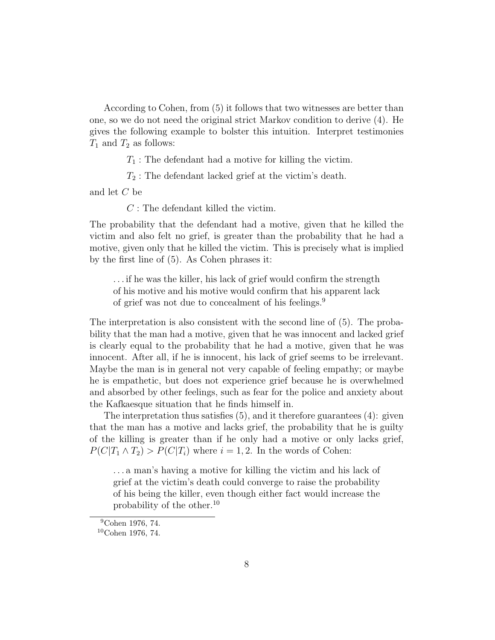According to Cohen, from (5) it follows that two witnesses are better than one, so we do not need the original strict Markov condition to derive (4). He gives the following example to bolster this intuition. Interpret testimonies  $T_1$  and  $T_2$  as follows:

 $T_1$ : The defendant had a motive for killing the victim.

 $T_2$ : The defendant lacked grief at the victim's death.

and let C be

C : The defendant killed the victim.

The probability that the defendant had a motive, given that he killed the victim and also felt no grief, is greater than the probability that he had a motive, given only that he killed the victim. This is precisely what is implied by the first line of (5). As Cohen phrases it:

. . . if he was the killer, his lack of grief would confirm the strength of his motive and his motive would confirm that his apparent lack of grief was not due to concealment of his feelings.<sup>9</sup>

The interpretation is also consistent with the second line of (5). The probability that the man had a motive, given that he was innocent and lacked grief is clearly equal to the probability that he had a motive, given that he was innocent. After all, if he is innocent, his lack of grief seems to be irrelevant. Maybe the man is in general not very capable of feeling empathy; or maybe he is empathetic, but does not experience grief because he is overwhelmed and absorbed by other feelings, such as fear for the police and anxiety about the Kafkaesque situation that he finds himself in.

The interpretation thus satisfies (5), and it therefore guarantees (4): given that the man has a motive and lacks grief, the probability that he is guilty of the killing is greater than if he only had a motive or only lacks grief,  $P(C|T_1 \wedge T_2) > P(C|T_i)$  where  $i = 1, 2$ . In the words of Cohen:

. . . a man's having a motive for killing the victim and his lack of grief at the victim's death could converge to raise the probability of his being the killer, even though either fact would increase the probability of the other.<sup>10</sup>

<sup>9</sup>Cohen 1976, 74.

<sup>10</sup>Cohen 1976, 74.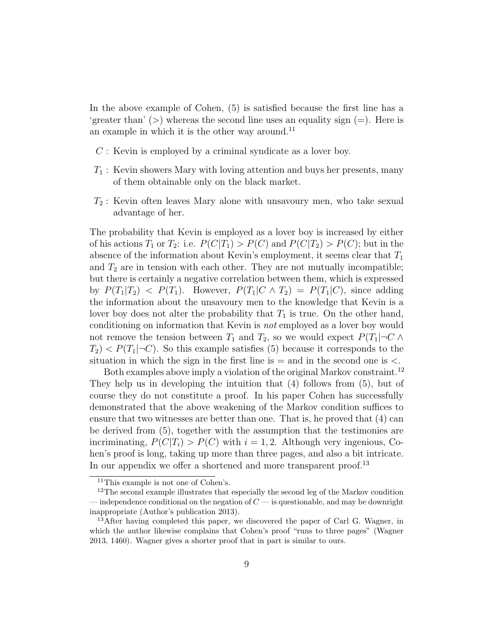In the above example of Cohen, (5) is satisfied because the first line has a 'greater than' ( $>$ ) whereas the second line uses an equality sign (=). Here is an example in which it is the other way around. $^{11}$ 

- $C$ : Kevin is employed by a criminal syndicate as a lover boy.
- $T_1$ : Kevin showers Mary with loving attention and buys her presents, many of them obtainable only on the black market.
- $T_2$ : Kevin often leaves Mary alone with unsavoury men, who take sexual advantage of her.

The probability that Kevin is employed as a lover boy is increased by either of his actions  $T_1$  or  $T_2$ : i.e.  $P(C|T_1) > P(C)$  and  $P(C|T_2) > P(C)$ ; but in the absence of the information about Kevin's employment, it seems clear that  $T_1$ and  $T_2$  are in tension with each other. They are not mutually incompatible; but there is certainly a negative correlation between them, which is expressed by  $P(T_1|T_2)$  <  $P(T_1)$ . However,  $P(T_1|C \wedge T_2) = P(T_1|C)$ , since adding the information about the unsavoury men to the knowledge that Kevin is a lover boy does not alter the probability that  $T_1$  is true. On the other hand, conditioning on information that Kevin is not employed as a lover boy would not remove the tension between  $T_1$  and  $T_2$ , so we would expect  $P(T_1|\neg C \wedge$  $T_2$   $\leq P(T_1|\neg C)$ . So this example satisfies (5) because it corresponds to the situation in which the sign in the first line is  $=$  and in the second one is  $\lt$ .

Both examples above imply a violation of the original Markov constraint.<sup>12</sup> They help us in developing the intuition that (4) follows from (5), but of course they do not constitute a proof. In his paper Cohen has successfully demonstrated that the above weakening of the Markov condition suffices to ensure that two witnesses are better than one. That is, he proved that (4) can be derived from (5), together with the assumption that the testimonies are incriminating,  $P(C|T_i) > P(C)$  with  $i = 1, 2$ . Although very ingenious, Cohen's proof is long, taking up more than three pages, and also a bit intricate. In our appendix we offer a shortened and more transparent proof.<sup>13</sup>

<sup>11</sup>This example is not one of Cohen's.

<sup>&</sup>lt;sup>12</sup>The second example illustrates that especially the second leg of the Markov condition — independence conditional on the negation of  $C$  — is questionable, and may be downright inappropriate (Author's publication 2013).

<sup>&</sup>lt;sup>13</sup>After having completed this paper, we discovered the paper of Carl G. Wagner, in which the author likewise complains that Cohen's proof "runs to three pages" (Wagner 2013, 1460). Wagner gives a shorter proof that in part is similar to ours.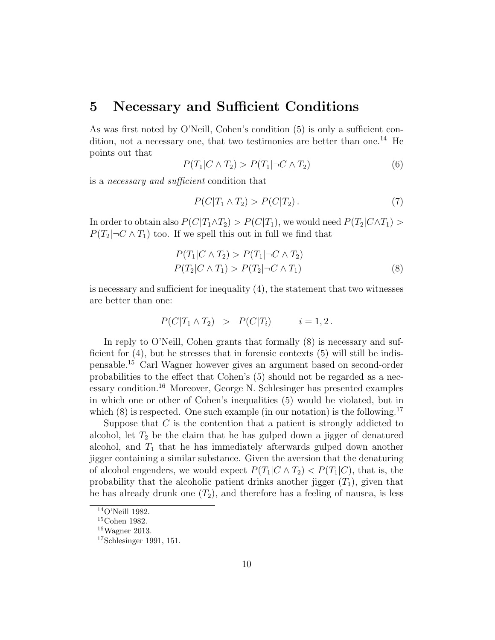### 5 Necessary and Sufficient Conditions

As was first noted by O'Neill, Cohen's condition (5) is only a sufficient condition, not a necessary one, that two testimonies are better than one.<sup>14</sup> He points out that

$$
P(T_1|C \wedge T_2) > P(T_1|\neg C \wedge T_2) \tag{6}
$$

is a necessary and sufficient condition that

$$
P(C|T_1 \wedge T_2) > P(C|T_2). \tag{7}
$$

In order to obtain also  $P(C|T_1 \wedge T_2) > P(C|T_1)$ , we would need  $P(T_2|C \wedge T_1)$  $P(T_2|\neg C \wedge T_1)$  too. If we spell this out in full we find that

$$
P(T_1|C \wedge T_2) > P(T_1|\neg C \wedge T_2) P(T_2|C \wedge T_1) > P(T_2|\neg C \wedge T_1)
$$
\n
$$
\tag{8}
$$

is necessary and sufficient for inequality (4), the statement that two witnesses are better than one:

$$
P(C|T_1 \wedge T_2) > P(C|T_i) \qquad i = 1, 2.
$$

In reply to O'Neill, Cohen grants that formally  $(8)$  is necessary and sufficient for (4), but he stresses that in forensic contexts (5) will still be indispensable.<sup>15</sup> Carl Wagner however gives an argument based on second-order probabilities to the effect that Cohen's (5) should not be regarded as a necessary condition.<sup>16</sup> Moreover, George N. Schlesinger has presented examples in which one or other of Cohen's inequalities (5) would be violated, but in which  $(8)$  is respected. One such example (in our notation) is the following.<sup>17</sup>

Suppose that  $C$  is the contention that a patient is strongly addicted to alcohol, let  $T_2$  be the claim that he has gulped down a jigger of denatured alcohol, and  $T_1$  that he has immediately afterwards gulped down another jigger containing a similar substance. Given the aversion that the denaturing of alcohol engenders, we would expect  $P(T_1|C \wedge T_2) < P(T_1|C)$ , that is, the probability that the alcoholic patient drinks another jigger  $(T_1)$ , given that he has already drunk one  $(T_2)$ , and therefore has a feeling of nausea, is less

 $^{14}{\rm O'}$  Neill 1982.

<sup>15</sup>Cohen 1982.

 $16$ Wagner 2013.

 $17$ Schlesinger 1991, 151.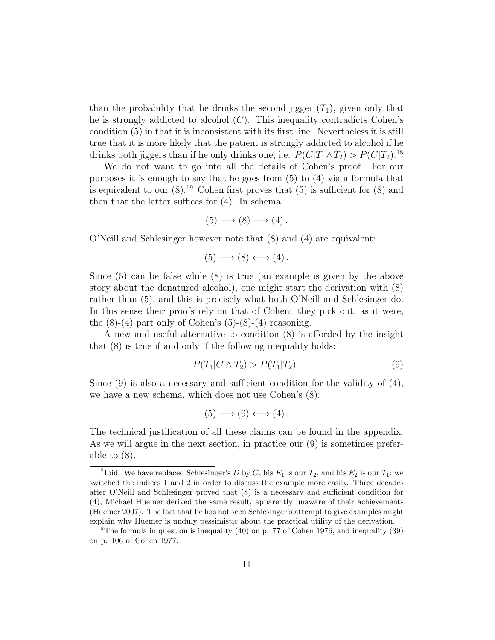than the probability that he drinks the second jigger  $(T_1)$ , given only that he is strongly addicted to alcohol  $(C)$ . This inequality contradicts Cohen's condition (5) in that it is inconsistent with its first line. Nevertheless it is still true that it is more likely that the patient is strongly addicted to alcohol if he drinks both jiggers than if he only drinks one, i.e.  $P(C|T_1 \wedge T_2) > P(C|T_2)$ .<sup>18</sup>

We do not want to go into all the details of Cohen's proof. For our purposes it is enough to say that he goes from (5) to (4) via a formula that is equivalent to our  $(8)$ .<sup>19</sup> Cohen first proves that  $(5)$  is sufficient for  $(8)$  and then that the latter suffices for (4). In schema:

$$
(5) \longrightarrow (8) \longrightarrow (4).
$$

O'Neill and Schlesinger however note that (8) and (4) are equivalent:

$$
(5) \longrightarrow (8) \longleftrightarrow (4).
$$

Since (5) can be false while (8) is true (an example is given by the above story about the denatured alcohol), one might start the derivation with (8) rather than (5), and this is precisely what both O'Neill and Schlesinger do. In this sense their proofs rely on that of Cohen: they pick out, as it were, the  $(8)-(4)$  part only of Cohen's  $(5)-(8)-(4)$  reasoning.

A new and useful alternative to condition (8) is afforded by the insight that (8) is true if and only if the following inequality holds:

$$
P(T_1|C \wedge T_2) > P(T_1|T_2).
$$
\n(9)

Since  $(9)$  is also a necessary and sufficient condition for the validity of  $(4)$ , we have a new schema, which does not use Cohen's (8):

$$
(5) \longrightarrow (9) \longleftrightarrow (4).
$$

The technical justification of all these claims can be found in the appendix. As we will argue in the next section, in practice our (9) is sometimes preferable to (8).

<sup>&</sup>lt;sup>18</sup>Ibid. We have replaced Schlesinger's D by C, his  $E_1$  is our  $T_2$ , and his  $E_2$  is our  $T_1$ ; we switched the indices 1 and 2 in order to discuss the example more easily. Three decades after O'Neill and Schlesinger proved that (8) is a necessary and sufficient condition for (4), Michael Huemer derived the same result, apparently unaware of their achievements (Huemer 2007). The fact that he has not seen Schlesinger's attempt to give examples might explain why Huemer is unduly pessimistic about the practical utility of the derivation.

<sup>&</sup>lt;sup>19</sup>The formula in question is inequality (40) on p. 77 of Cohen 1976, and inequality (39) on p. 106 of Cohen 1977.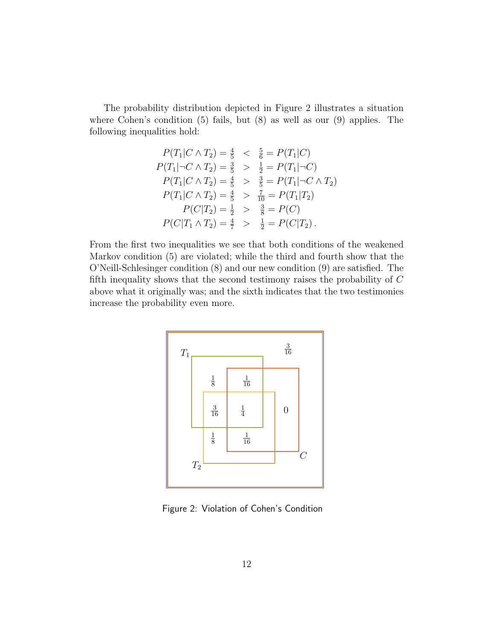The probability distribution depicted in Figure 2 illustrates a situation where Cohen's condition (5) fails, but (8) as well as our (9) applies. The following inequalities hold:

$$
P(T_1|C \wedge T_2) = \frac{4}{5} < \frac{5}{6} = P(T_1|C)
$$
\n
$$
P(T_1|\neg C \wedge T_2) = \frac{3}{5} > \frac{1}{2} = P(T_1|\neg C)
$$
\n
$$
P(T_1|C \wedge T_2) = \frac{4}{5} > \frac{3}{5} = P(T_1|\neg C \wedge T_2)
$$
\n
$$
P(T_1|C \wedge T_2) = \frac{4}{5} > \frac{7}{10} = P(T_1|T_2)
$$
\n
$$
P(C|T_2) = \frac{1}{2} > \frac{3}{8} = P(C)
$$
\n
$$
P(C|T_1 \wedge T_2) = \frac{4}{7} > \frac{1}{2} = P(C|T_2).
$$

From the first two inequalities we see that both conditions of the weakened Markov condition (5) are violated; while the third and fourth show that the O'Neill-Schlesinger condition (8) and our new condition (9) are satisfied. The fifth inequality shows that the second testimony raises the probability of C above what it originally was; and the sixth indicates that the two testimonies increase the probability even more.



Figure 2: Violation of Cohen's Condition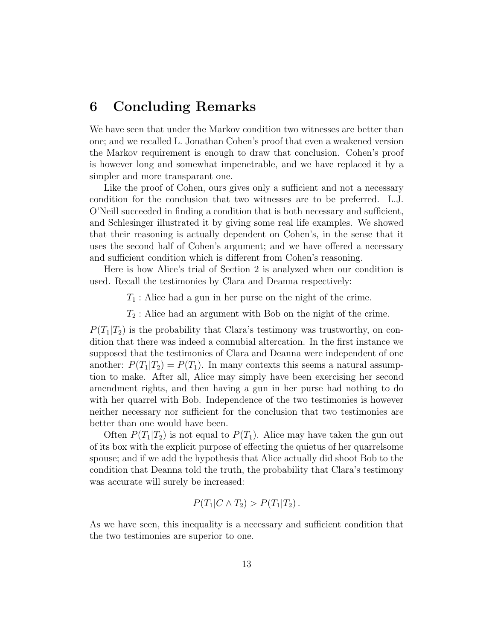## 6 Concluding Remarks

We have seen that under the Markov condition two witnesses are better than one; and we recalled L. Jonathan Cohen's proof that even a weakened version the Markov requirement is enough to draw that conclusion. Cohen's proof is however long and somewhat impenetrable, and we have replaced it by a simpler and more transparant one.

Like the proof of Cohen, ours gives only a sufficient and not a necessary condition for the conclusion that two witnesses are to be preferred. L.J. O'Neill succeeded in finding a condition that is both necessary and sufficient, and Schlesinger illustrated it by giving some real life examples. We showed that their reasoning is actually dependent on Cohen's, in the sense that it uses the second half of Cohen's argument; and we have offered a necessary and sufficient condition which is different from Cohen's reasoning.

Here is how Alice's trial of Section 2 is analyzed when our condition is used. Recall the testimonies by Clara and Deanna respectively:

 $T_1$ : Alice had a gun in her purse on the night of the crime.

 $T_2$ : Alice had an argument with Bob on the night of the crime.

 $P(T_1|T_2)$  is the probability that Clara's testimony was trustworthy, on condition that there was indeed a connubial altercation. In the first instance we supposed that the testimonies of Clara and Deanna were independent of one another:  $P(T_1|T_2) = P(T_1)$ . In many contexts this seems a natural assumption to make. After all, Alice may simply have been exercising her second amendment rights, and then having a gun in her purse had nothing to do with her quarrel with Bob. Independence of the two testimonies is however neither necessary nor sufficient for the conclusion that two testimonies are better than one would have been.

Often  $P(T_1|T_2)$  is not equal to  $P(T_1)$ . Alice may have taken the gun out of its box with the explicit purpose of effecting the quietus of her quarrelsome spouse; and if we add the hypothesis that Alice actually did shoot Bob to the condition that Deanna told the truth, the probability that Clara's testimony was accurate will surely be increased:

$$
P(T_1|C \wedge T_2) > P(T_1|T_2).
$$

As we have seen, this inequality is a necessary and sufficient condition that the two testimonies are superior to one.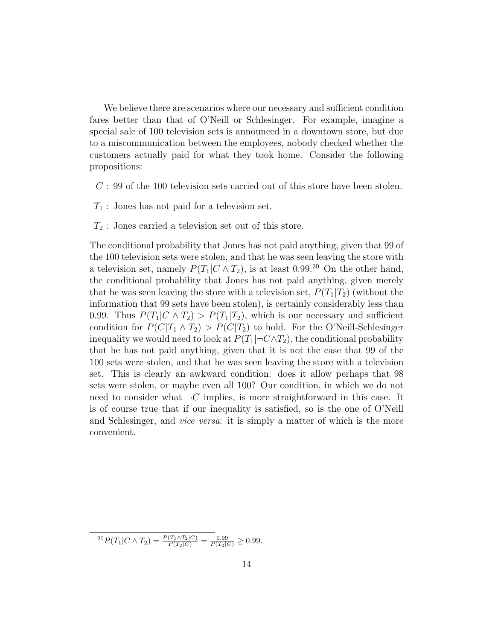We believe there are scenarios where our necessary and sufficient condition fares better than that of O'Neill or Schlesinger. For example, imagine a special sale of 100 television sets is announced in a downtown store, but due to a miscommunication between the employees, nobody checked whether the customers actually paid for what they took home. Consider the following propositions:

- C : 99 of the 100 television sets carried out of this store have been stolen.
- $T_1$ : Jones has not paid for a television set.
- $T_2$ : Jones carried a television set out of this store.

The conditional probability that Jones has not paid anything, given that 99 of the 100 television sets were stolen, and that he was seen leaving the store with a television set, namely  $P(T_1|C \wedge T_2)$ , is at least 0.99.<sup>20</sup> On the other hand, the conditional probability that Jones has not paid anything, given merely that he was seen leaving the store with a television set,  $P(T_1|T_2)$  (without the information that 99 sets have been stolen), is certainly considerably less than 0.99. Thus  $P(T_1|C \wedge T_2) > P(T_1|T_2)$ , which is our necessary and sufficient condition for  $P(C|T_1 \wedge T_2) > P(C|T_2)$  to hold. For the O'Neill-Schlesinger inequality we would need to look at  $P(T_1|\neg C \wedge T_2)$ , the conditional probability that he has not paid anything, given that it is not the case that 99 of the 100 sets were stolen, and that he was seen leaving the store with a television set. This is clearly an awkward condition: does it allow perhaps that 98 sets were stolen, or maybe even all 100? Our condition, in which we do not need to consider what  $\neg C$  implies, is more straightforward in this case. It is of course true that if our inequality is satisfied, so is the one of O'Neill and Schlesinger, and *vice versa*: it is simply a matter of which is the more convenient.

 ${}^{20}P(T_1|C \wedge T_2) = \frac{P(T_1 \wedge T_2|C)}{P(T_2|C)} = \frac{0.99}{P(T_2|C)} \geq 0.99.$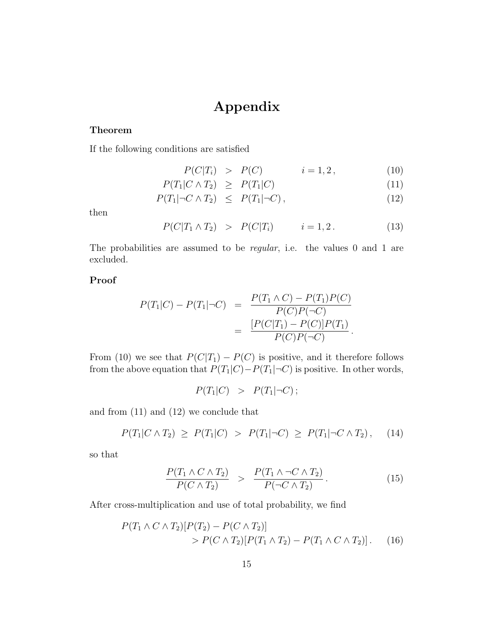# Appendix

#### Theorem

If the following conditions are satisfied

$$
P(C|T_i) > P(C) \qquad i = 1, 2, \tag{10}
$$

$$
P(T_1|C \wedge T_2) \geq P(T_1|C) \tag{11}
$$

$$
P(T_1|\neg C \land T_2) \leq P(T_1|\neg C), \tag{12}
$$

then

$$
P(C|T_1 \wedge T_2) > P(C|T_i) \qquad i = 1, 2. \tag{13}
$$

The probabilities are assumed to be *regular*, i.e. the values 0 and 1 are excluded.

### Proof

$$
P(T_1|C) - P(T_1|\neg C) = \frac{P(T_1 \land C) - P(T_1)P(C)}{P(C)P(\neg C)}
$$
  
= 
$$
\frac{[P(C|T_1) - P(C)]P(T_1)}{P(C)P(\neg C)}.
$$

From (10) we see that  $P(C|T_1) - P(C)$  is positive, and it therefore follows from the above equation that  $P(T_1|C)-P(T_1|\neg C)$  is positive. In other words,

$$
P(T_1|C) > P(T_1|\neg C);
$$

and from (11) and (12) we conclude that

$$
P(T_1|C \wedge T_2) \ge P(T_1|C) > P(T_1|\neg C) \ge P(T_1|\neg C \wedge T_2), \quad (14)
$$

so that

$$
\frac{P(T_1 \wedge C \wedge T_2)}{P(C \wedge T_2)} > \frac{P(T_1 \wedge \neg C \wedge T_2)}{P(\neg C \wedge T_2)}.
$$
\n(15)

After cross-multiplication and use of total probability, we find

$$
P(T_1 \wedge C \wedge T_2)[P(T_2) - P(C \wedge T_2)]
$$
  
> 
$$
P(C \wedge T_2)[P(T_1 \wedge T_2) - P(T_1 \wedge C \wedge T_2)].
$$
 (16)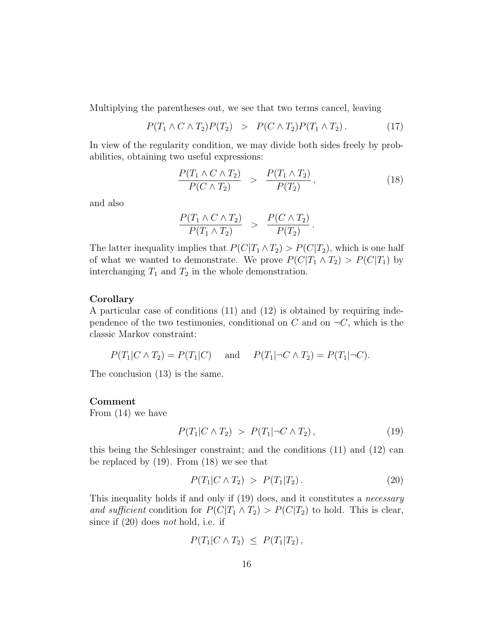Multiplying the parentheses out, we see that two terms cancel, leaving

$$
P(T_1 \wedge C \wedge T_2)P(T_2) > P(C \wedge T_2)P(T_1 \wedge T_2).
$$
 (17)

In view of the regularity condition, we may divide both sides freely by probabilities, obtaining two useful expressions:

$$
\frac{P(T_1 \wedge C \wedge T_2)}{P(C \wedge T_2)} > \frac{P(T_1 \wedge T_2)}{P(T_2)},
$$
\n(18)

and also

$$
\frac{P(T_1 \wedge C \wedge T_2)}{P(T_1 \wedge T_2)} > \frac{P(C \wedge T_2)}{P(T_2)}.
$$

The latter inequality implies that  $P(C|T_1 \wedge T_2) > P(C|T_2)$ , which is one half of what we wanted to demonstrate. We prove  $P(C|T_1 \wedge T_2) > P(C|T_1)$  by interchanging  $T_1$  and  $T_2$  in the whole demonstration.

#### Corollary

A particular case of conditions (11) and (12) is obtained by requiring independence of the two testimonies, conditional on C and on  $\neg C$ , which is the classic Markov constraint:

 $P(T_1|C \wedge T_2) = P(T_1|C)$  and  $P(T_1|\neg C \wedge T_2) = P(T_1|\neg C)$ .

The conclusion (13) is the same.

#### Comment

From (14) we have

$$
P(T_1|C \wedge T_2) > P(T_1|\neg C \wedge T_2), \qquad (19)
$$

this being the Schlesinger constraint; and the conditions (11) and (12) can be replaced by (19). From (18) we see that

$$
P(T_1|C \wedge T_2) > P(T_1|T_2). \tag{20}
$$

This inequality holds if and only if (19) does, and it constitutes a necessary and sufficient condition for  $P(C|T_1 \wedge T_2) > P(C|T_2)$  to hold. This is clear, since if  $(20)$  does *not* hold, i.e. if

$$
P(T_1|C \wedge T_2) \leq P(T_1|T_2),
$$